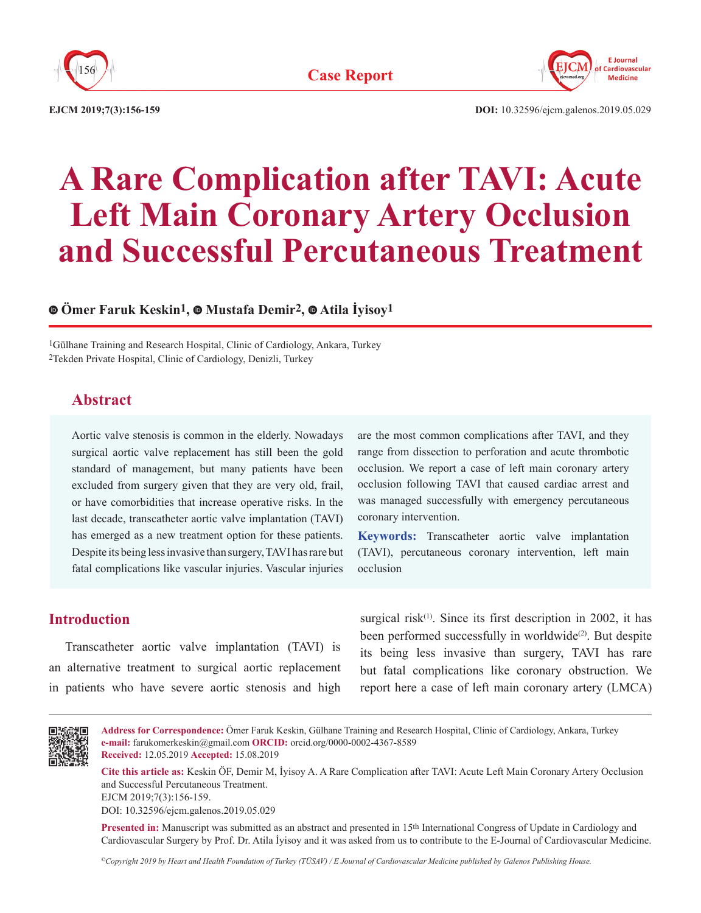



**EJCM 2019;7(3):156-159 DOI:** 10.32596/ejcm.galenos.2019.05.029

# **A Rare Complication after TAVI: Acute Left Main Coronary Artery Occlusion and Successful Percutaneous Treatment**

# **Ömer Faruk Keskin1,Mustafa Demir2,Atila İyisoy1**

1Gülhane Training and Research Hospital, Clinic of Cardiology, Ankara, Turkey 2Tekden Private Hospital, Clinic of Cardiology, Denizli, Turkey

# **Abstract**

Aortic valve stenosis is common in the elderly. Nowadays surgical aortic valve replacement has still been the gold standard of management, but many patients have been excluded from surgery given that they are very old, frail, or have comorbidities that increase operative risks. In the last decade, transcatheter aortic valve implantation (TAVI) has emerged as a new treatment option for these patients. Despite its being less invasive than surgery, TAVI has rare but fatal complications like vascular injuries. Vascular injuries are the most common complications after TAVI, and they range from dissection to perforation and acute thrombotic occlusion. We report a case of left main coronary artery occlusion following TAVI that caused cardiac arrest and was managed successfully with emergency percutaneous coronary intervention.

**Keywords:** Transcatheter aortic valve implantation (TAVI), percutaneous coronary intervention, left main occlusion

### **Introduction**

Transcatheter aortic valve implantation (TAVI) is an alternative treatment to surgical aortic replacement in patients who have severe aortic stenosis and high

surgical risk $(1)$ . Since its first description in 2002, it has been performed successfully in worldwide<sup>(2)</sup>. But despite its being less invasive than surgery, TAVI has rare but fatal complications like coronary obstruction. We report here a case of left main coronary artery (LMCA)



**Address for Correspondence:** Ömer Faruk Keskin, Gülhane Training and Research Hospital, Clinic of Cardiology, Ankara, Turkey **e-mail:** farukomerkeskin@gmail.com **ORCID:** orcid.org/0000-0002-4367-8589 **Received:** 12.05.2019 **Accepted:** 15.08.2019

**Cite this article as:** Keskin ÖF, Demir M, İyisoy A. A Rare Complication after TAVI: Acute Left Main Coronary Artery Occlusion and Successful Percutaneous Treatment.

EJCM 2019;7(3):156-159.

DOI: 10.32596/ejcm.galenos.2019.05.029

**Presented in:** Manuscript was submitted as an abstract and presented in 15th International Congress of Update in Cardiology and Cardiovascular Surgery by Prof. Dr. Atila İyisoy and it was asked from us to contribute to the E-Journal of Cardiovascular Medicine.

*©Copyright 2019 by Heart and Health Foundation of Turkey (TÜSAV) / E Journal of Cardiovascular Medicine published by Galenos Publishing House.*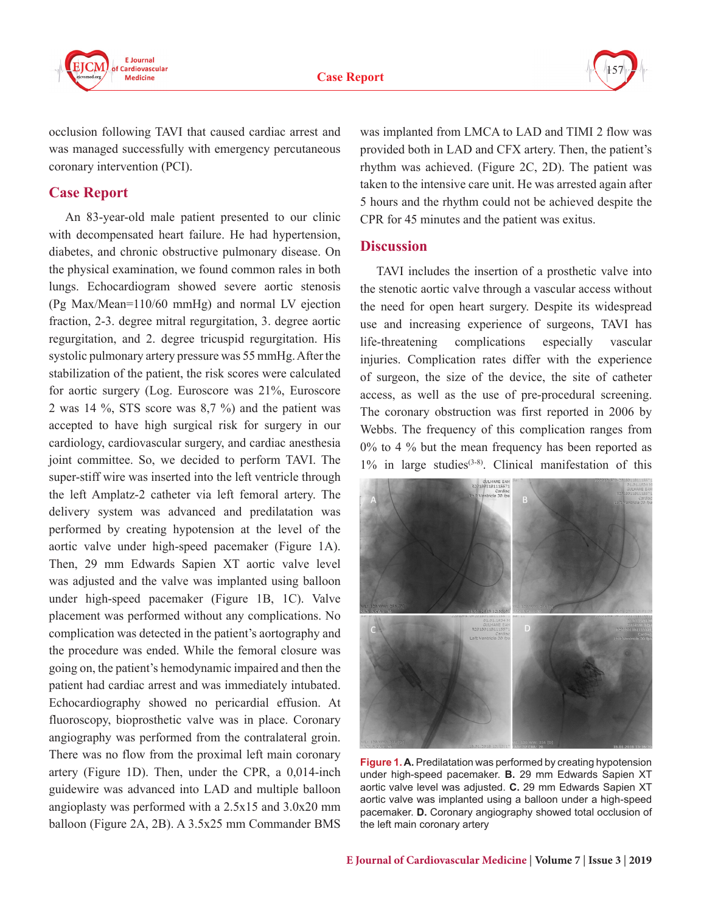



occlusion following TAVI that caused cardiac arrest and was managed successfully with emergency percutaneous coronary intervention (PCI).

# **Case Report**

An 83-year-old male patient presented to our clinic with decompensated heart failure. He had hypertension, diabetes, and chronic obstructive pulmonary disease. On the physical examination, we found common rales in both lungs. Echocardiogram showed severe aortic stenosis (Pg Max/Mean=110/60 mmHg) and normal LV ejection fraction, 2-3. degree mitral regurgitation, 3. degree aortic regurgitation, and 2. degree tricuspid regurgitation. His systolic pulmonary artery pressure was 55 mmHg. After the stabilization of the patient, the risk scores were calculated for aortic surgery (Log. Euroscore was 21%, Euroscore 2 was 14 %, STS score was 8,7 %) and the patient was accepted to have high surgical risk for surgery in our cardiology, cardiovascular surgery, and cardiac anesthesia joint committee. So, we decided to perform TAVI. The super-stiff wire was inserted into the left ventricle through the left Amplatz-2 catheter via left femoral artery. The delivery system was advanced and predilatation was performed by creating hypotension at the level of the aortic valve under high-speed pacemaker (Figure 1A). Then, 29 mm Edwards Sapien XT aortic valve level was adjusted and the valve was implanted using balloon under high-speed pacemaker (Figure 1B, 1C). Valve placement was performed without any complications. No complication was detected in the patient's aortography and the procedure was ended. While the femoral closure was going on, the patient's hemodynamic impaired and then the patient had cardiac arrest and was immediately intubated. Echocardiography showed no pericardial effusion. At fluoroscopy, bioprosthetic valve was in place. Coronary angiography was performed from the contralateral groin. There was no flow from the proximal left main coronary artery (Figure 1D). Then, under the CPR, a 0,014-inch guidewire was advanced into LAD and multiple balloon angioplasty was performed with a 2.5x15 and 3.0x20 mm balloon (Figure 2A, 2B). A 3.5x25 mm Commander BMS

was implanted from LMCA to LAD and TIMI 2 flow was provided both in LAD and CFX artery. Then, the patient's rhythm was achieved. (Figure 2C, 2D). The patient was taken to the intensive care unit. He was arrested again after 5 hours and the rhythm could not be achieved despite the CPR for 45 minutes and the patient was exitus.

## **Discussion**

TAVI includes the insertion of a prosthetic valve into the stenotic aortic valve through a vascular access without the need for open heart surgery. Despite its widespread use and increasing experience of surgeons, TAVI has life-threatening complications especially vascular injuries. Complication rates differ with the experience of surgeon, the size of the device, the site of catheter access, as well as the use of pre-procedural screening. The coronary obstruction was first reported in 2006 by Webbs. The frequency of this complication ranges from 0% to 4 % but the mean frequency has been reported as 1% in large studies(3-8). Clinical manifestation of this



**Figure 1. A.** Predilatation was performed by creating hypotension under high-speed pacemaker. **B.** 29 mm Edwards Sapien XT aortic valve level was adjusted. **C.** 29 mm Edwards Sapien XT aortic valve was implanted using a balloon under a high-speed pacemaker. **D.** Coronary angiography showed total occlusion of the left main coronary artery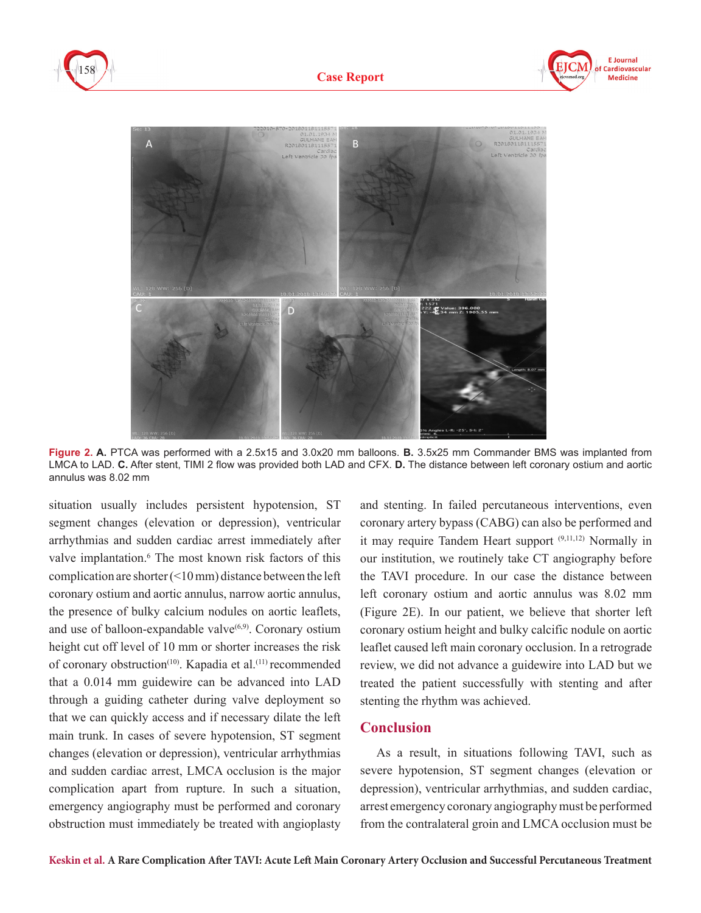







**Figure 2. A.** PTCA was performed with a 2.5x15 and 3.0x20 mm balloons. **B.** 3.5x25 mm Commander BMS was implanted from LMCA to LAD. **C.** After stent, TIMI 2 flow was provided both LAD and CFX. **D.** The distance between left coronary ostium and aortic annulus was 8.02 mm

situation usually includes persistent hypotension, ST segment changes (elevation or depression), ventricular arrhythmias and sudden cardiac arrest immediately after valve implantation.<sup>6</sup> The most known risk factors of this complication are shorter (<10 mm) distance between the left coronary ostium and aortic annulus, narrow aortic annulus, the presence of bulky calcium nodules on aortic leaflets, and use of balloon-expandable valve $(6,9)$ . Coronary ostium height cut off level of 10 mm or shorter increases the risk of coronary obstruction<sup>(10)</sup>. Kapadia et al.<sup>(11)</sup> recommended that a 0.014 mm guidewire can be advanced into LAD through a guiding catheter during valve deployment so that we can quickly access and if necessary dilate the left main trunk. In cases of severe hypotension, ST segment changes (elevation or depression), ventricular arrhythmias and sudden cardiac arrest, LMCA occlusion is the major complication apart from rupture. In such a situation, emergency angiography must be performed and coronary obstruction must immediately be treated with angioplasty

and stenting. In failed percutaneous interventions, even coronary artery bypass (CABG) can also be performed and it may require Tandem Heart support (9,11,12) Normally in our institution, we routinely take CT angiography before the TAVI procedure. In our case the distance between left coronary ostium and aortic annulus was 8.02 mm (Figure 2E). In our patient, we believe that shorter left coronary ostium height and bulky calcific nodule on aortic leaflet caused left main coronary occlusion. In a retrograde review, we did not advance a guidewire into LAD but we treated the patient successfully with stenting and after stenting the rhythm was achieved.

#### **Conclusion**

As a result, in situations following TAVI, such as severe hypotension, ST segment changes (elevation or depression), ventricular arrhythmias, and sudden cardiac, arrest emergency coronary angiography must be performed from the contralateral groin and LMCA occlusion must be